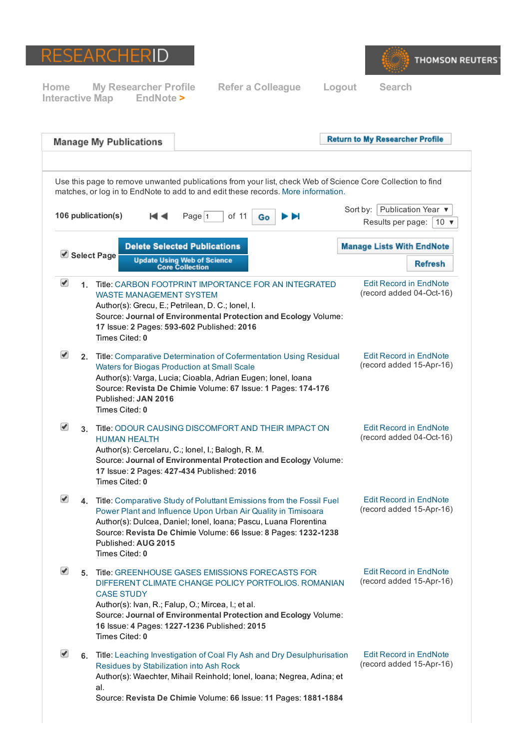



|                      |             | <b>Manage My Publications</b>                                                                                                                                                                                                                                                                                              | <b>Return to My Researcher Profile</b>                                 |
|----------------------|-------------|----------------------------------------------------------------------------------------------------------------------------------------------------------------------------------------------------------------------------------------------------------------------------------------------------------------------------|------------------------------------------------------------------------|
|                      |             |                                                                                                                                                                                                                                                                                                                            |                                                                        |
|                      |             | Use this page to remove unwanted publications from your list, check Web of Science Core Collection to find<br>matches, or log in to EndNote to add to and edit these records. More information.                                                                                                                            |                                                                        |
|                      |             | 106 publication(s)<br>of 11<br>н⊲<br>Page $ 1$<br>ÞЫ<br>Go                                                                                                                                                                                                                                                                 | Publication Year ▼<br>Sort by: $ $<br>Results per page:<br>$10 \times$ |
|                      |             | <b>Delete Selected Publications</b>                                                                                                                                                                                                                                                                                        | <b>Manage Lists With EndNote</b>                                       |
|                      |             | Select Page<br><b>Update Using Web of Science</b><br><b>Core Collection</b>                                                                                                                                                                                                                                                | <b>Refresh</b>                                                         |
| $\blacktriangledown$ | $\mathbf 1$ | Title: CARBON FOOTPRINT IMPORTANCE FOR AN INTEGRATED<br><b>WASTE MANAGEMENT SYSTEM</b><br>Author(s): Grecu, E.; Petrilean, D. C.; lonel, I.<br>Source: Journal of Environmental Protection and Ecology Volume:<br>17 Issue: 2 Pages: 593-602 Published: 2016<br>Times Cited: 0                                             | <b>Edit Record in EndNote</b><br>(record added 04-Oct-16)              |
| $\blacktriangledown$ |             | 2. Title: Comparative Determination of Cofermentation Using Residual<br>Waters for Biogas Production at Small Scale<br>Author(s): Varga, Lucia; Cioabla, Adrian Eugen; Ionel, Ioana<br>Source: Revista De Chimie Volume: 67 Issue: 1 Pages: 174-176<br>Published: JAN 2016<br>Times Cited: 0                               | <b>Edit Record in EndNote</b><br>(record added 15-Apr-16)              |
| $\blacktriangledown$ |             | 3. Title: ODOUR CAUSING DISCOMFORT AND THEIR IMPACT ON<br><b>HUMAN HEALTH</b><br>Author(s): Cercelaru, C.; Ionel, I.; Balogh, R. M.<br>Source: Journal of Environmental Protection and Ecology Volume:<br>17 Issue: 2 Pages: 427-434 Published: 2016<br>Times Cited: 0                                                     | <b>Edit Record in EndNote</b><br>(record added 04-Oct-16)              |
| ✔                    | 4.          | Title: Comparative Study of Poluttant Emissions from the Fossil Fuel<br>Power Plant and Influence Upon Urban Air Quality in Timisoara<br>Author(s): Dulcea, Daniel; Ionel, Ioana; Pascu, Luana Florentina<br>Source: Revista De Chimie Volume: 66 Issue: 8 Pages: 1232-1238<br>Published: AUG 2015<br>Times Cited: 0       | <b>Edit Record in EndNote</b><br>(record added 15-Apr-16)              |
| $\blacktriangledown$ |             | 5. Title: GREENHOUSE GASES EMISSIONS FORECASTS FOR<br>DIFFERENT CLIMATE CHANGE POLICY PORTFOLIOS. ROMANIAN<br><b>CASE STUDY</b><br>Author(s): Ivan, R.; Falup, O.; Mircea, I.; et al.<br>Source: Journal of Environmental Protection and Ecology Volume:<br>16 Issue: 4 Pages: 1227-1236 Published: 2015<br>Times Cited: 0 | <b>Edit Record in EndNote</b><br>(record added 15-Apr-16)              |
| $\blacktriangledown$ |             | 6. Title: Leaching Investigation of Coal Fly Ash and Dry Desulphurisation<br>Residues by Stabilization into Ash Rock<br>Author(s): Waechter, Mihail Reinhold; Ionel, Ioana; Negrea, Adina; et<br>al.<br>Source: Revista De Chimie Volume: 66 Issue: 11 Pages: 1881-1884                                                    | <b>Edit Record in EndNote</b><br>(record added 15-Apr-16)              |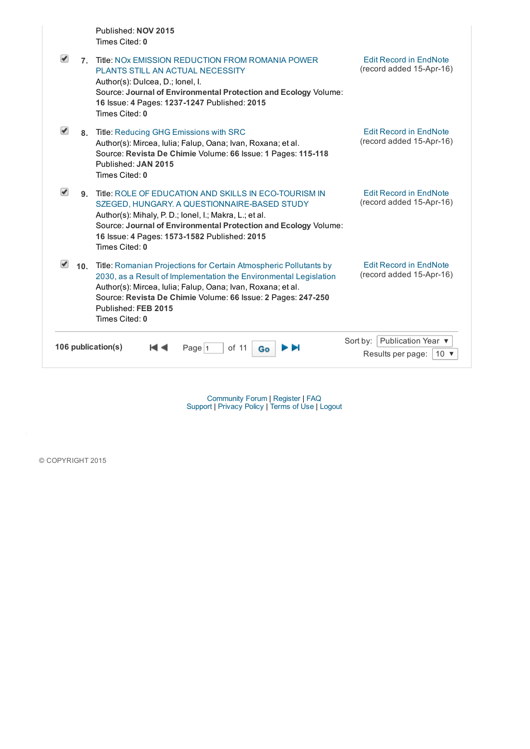Published: NOV 2015 Times Cited: 0

| $\blacktriangledown$ | 7 <sup>1</sup> | Title: NOx EMISSION REDUCTION FROM ROMANIA POWER<br>PLANTS STILL AN ACTUAL NECESSITY<br>Author(s): Dulcea, D.; lonel, I.<br>Source: Journal of Environmental Protection and Ecology Volume:<br>16 Issue: 4 Pages: 1237-1247 Published: 2015<br>Times Cited: 0                                                  | <b>Edit Record in EndNote</b><br>(record added 15-Apr-16)                      |
|----------------------|----------------|----------------------------------------------------------------------------------------------------------------------------------------------------------------------------------------------------------------------------------------------------------------------------------------------------------------|--------------------------------------------------------------------------------|
|                      | 8.             | Title: Reducing GHG Emissions with SRC<br>Author(s): Mircea, Iulia; Falup, Oana; Ivan, Roxana; et al.<br>Source: Revista De Chimie Volume: 66 Issue: 1 Pages: 115-118<br>Published: JAN 2015<br>Times Cited: 0                                                                                                 | <b>Edit Record in EndNote</b><br>(record added 15-Apr-16)                      |
|                      | $\mathbf{q}$   | Title: ROLE OF EDUCATION AND SKILLS IN ECO-TOURISM IN<br>SZEGED, HUNGARY. A QUESTIONNAIRE-BASED STUDY<br>Author(s): Mihaly, P. D.; lonel, I.; Makra, L.; et al.<br>Source: Journal of Environmental Protection and Ecology Volume:<br>16 Issue: 4 Pages: 1573-1582 Published: 2015<br>Times Cited: 0           | <b>Edit Record in EndNote</b><br>(record added 15-Apr-16)                      |
|                      | 10.            | Title: Romanian Projections for Certain Atmospheric Pollutants by<br>2030, as a Result of Implementation the Environmental Legislation<br>Author(s): Mircea, Iulia; Falup, Oana; Ivan, Roxana; et al.<br>Source: Revista De Chimie Volume: 66 Issue: 2 Pages: 247-250<br>Published: FEB 2015<br>Times Cited: 0 | <b>Edit Record in EndNote</b><br>(record added 15-Apr-16)                      |
|                      |                | 106 publication(s)<br>of $11$<br>Page $ 1$<br>Go                                                                                                                                                                                                                                                               | Publication Year ▼<br>Sort by:<br>Results per page:<br>10 $\blacktriangledown$ |

[Community](http://community.thomsonreuters.com/ts/?category.id=researcherid) Forum | [Register](http://www.researcherid.com/SelfRegistration.action) | [FAQ](http://www.researcherid.com/resources/html/dsy5769-TRS.html) [Support](http://science.thomsonreuters.com/support/) | [Privacy](http://ip-science.thomsonreuters.com/privacy/researcherid) Policy | [Terms](http://www.researcherid.com/resources/html/Terms.html) of Use | [Logout](http://www.researcherid.com/LogOff.action)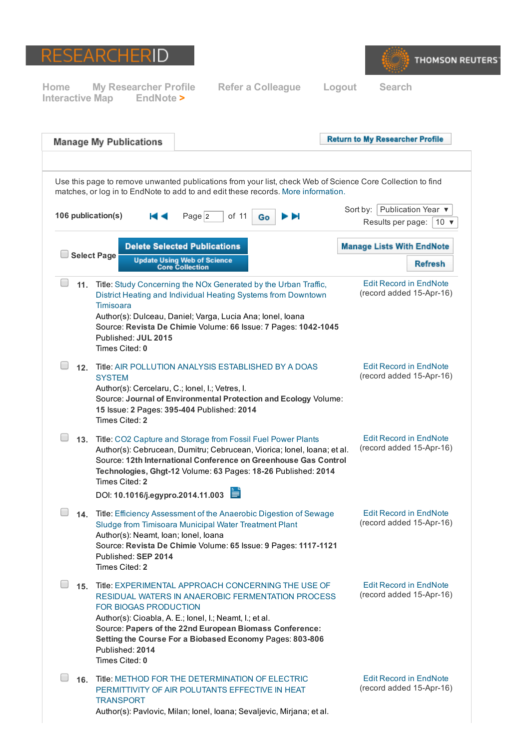



|                    | <b>Manage My Publications</b>                                                                                                                                                                                                                                                                                                                               |                                                              |    | <b>Return to My Researcher Profile</b> |                                                           |  |  |  |
|--------------------|-------------------------------------------------------------------------------------------------------------------------------------------------------------------------------------------------------------------------------------------------------------------------------------------------------------------------------------------------------------|--------------------------------------------------------------|----|----------------------------------------|-----------------------------------------------------------|--|--|--|
|                    | Use this page to remove unwanted publications from your list, check Web of Science Core Collection to find<br>matches, or log in to EndNote to add to and edit these records. More information.<br>  Publication Year ▼<br>Sort by:                                                                                                                         |                                                              |    |                                        |                                                           |  |  |  |
| 106 publication(s) |                                                                                                                                                                                                                                                                                                                                                             | Page $ 2 $<br>of 11                                          | Go | Results per page:                      | $10 \times$                                               |  |  |  |
|                    |                                                                                                                                                                                                                                                                                                                                                             | <b>Delete Selected Publications</b>                          |    | <b>Manage Lists With EndNote</b>       |                                                           |  |  |  |
|                    | <b>Select Page</b>                                                                                                                                                                                                                                                                                                                                          | <b>Update Using Web of Science</b><br><b>Core Collection</b> |    |                                        | <b>Refresh</b>                                            |  |  |  |
|                    | 11. Title: Study Concerning the NOx Generated by the Urban Traffic,<br>District Heating and Individual Heating Systems from Downtown<br>Timisoara<br>Author(s): Dulceau, Daniel; Varga, Lucia Ana; Ionel, Ioana<br>Source: Revista De Chimie Volume: 66 Issue: 7 Pages: 1042-1045<br>Published: JUL 2015<br>Times Cited: 0                                  |                                                              |    |                                        | <b>Edit Record in EndNote</b><br>(record added 15-Apr-16) |  |  |  |
|                    | 12. Title: AIR POLLUTION ANALYSIS ESTABLISHED BY A DOAS<br><b>SYSTEM</b><br>Author(s): Cercelaru, C.; lonel, I.; Vetres, I.<br>Source: Journal of Environmental Protection and Ecology Volume:<br>15 Issue: 2 Pages: 395-404 Published: 2014<br>Times Cited: 2                                                                                              |                                                              |    |                                        | <b>Edit Record in EndNote</b><br>(record added 15-Apr-16) |  |  |  |
|                    | 13. Title: CO2 Capture and Storage from Fossil Fuel Power Plants<br>Author(s): Cebrucean, Dumitru; Cebrucean, Viorica; Ionel, Ioana; et al.<br>Source: 12th International Conference on Greenhouse Gas Control<br>Technologies, Ghgt-12 Volume: 63 Pages: 18-26 Published: 2014<br>Times Cited: 2<br>DOI: 10.1016/j.egypro.2014.11.003                      |                                                              |    |                                        | <b>Edit Record in EndNote</b><br>(record added 15-Apr-16) |  |  |  |
| 14.                | Title: Efficiency Assessment of the Anaerobic Digestion of Sewage<br>Sludge from Timisoara Municipal Water Treatment Plant<br>Author(s): Neamt, Ioan; Ionel, Ioana<br>Source: Revista De Chimie Volume: 65 Issue: 9 Pages: 1117-1121<br>Published: SEP 2014<br>Times Cited: 2                                                                               |                                                              |    |                                        | <b>Edit Record in EndNote</b><br>(record added 15-Apr-16) |  |  |  |
|                    | 15. Title: EXPERIMENTAL APPROACH CONCERNING THE USE OF<br>RESIDUAL WATERS IN ANAEROBIC FERMENTATION PROCESS<br>FOR BIOGAS PRODUCTION<br>Author(s): Cioabla, A. E.; lonel, I.; Neamt, I.; et al.<br>Source: Papers of the 22nd European Biomass Conference:<br>Setting the Course For a Biobased Economy Pages: 803-806<br>Published: 2014<br>Times Cited: 0 |                                                              |    |                                        | <b>Edit Record in EndNote</b><br>(record added 15-Apr-16) |  |  |  |
|                    | 16. Title: METHOD FOR THE DETERMINATION OF ELECTRIC<br>PERMITTIVITY OF AIR POLUTANTS EFFECTIVE IN HEAT<br><b>TRANSPORT</b><br>Author(s): Pavlovic, Milan; Ionel, Ioana; Sevaljevic, Mirjana; et al.                                                                                                                                                         |                                                              |    |                                        | <b>Edit Record in EndNote</b><br>(record added 15-Apr-16) |  |  |  |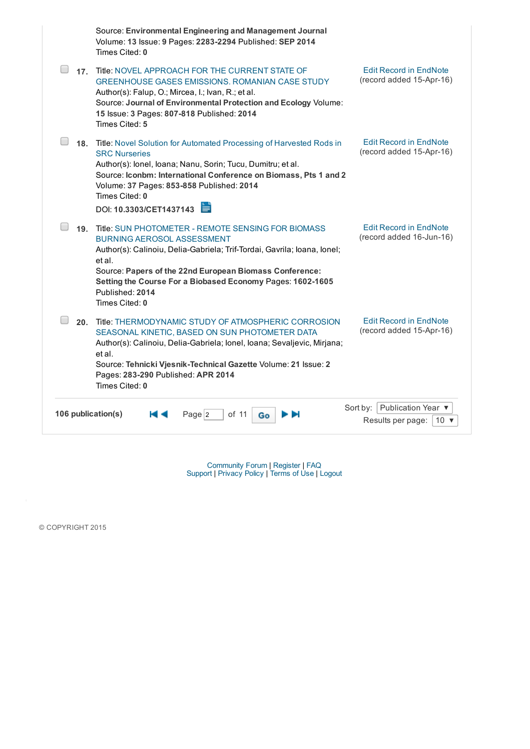|                    | Source: Environmental Engineering and Management Journal<br>Volume: 13 Issue: 9 Pages: 2283-2294 Published: SEP 2014<br>Times Cited: 0                                                                                                                                                                                                          |                                                                             |
|--------------------|-------------------------------------------------------------------------------------------------------------------------------------------------------------------------------------------------------------------------------------------------------------------------------------------------------------------------------------------------|-----------------------------------------------------------------------------|
| 17.                | Title: NOVEL APPROACH FOR THE CURRENT STATE OF<br><b>GREENHOUSE GASES EMISSIONS. ROMANIAN CASE STUDY</b><br>Author(s): Falup, O.; Mircea, I.; Ivan, R.; et al.<br>Source: Journal of Environmental Protection and Ecology Volume:<br>15 Issue: 3 Pages: 807-818 Published: 2014<br>Times Cited: 5                                               | <b>Edit Record in EndNote</b><br>(record added 15-Apr-16)                   |
| 18.                | Title: Novel Solution for Automated Processing of Harvested Rods in<br><b>SRC Nurseries</b><br>Author(s): Ionel, Ioana; Nanu, Sorin; Tucu, Dumitru; et al.<br>Source: Iconbm: International Conference on Biomass, Pts 1 and 2<br>Volume: 37 Pages: 853-858 Published: 2014<br>Times Cited: 0<br>DOI: 10.3303/CET1437143                        | <b>Edit Record in EndNote</b><br>(record added 15-Apr-16)                   |
|                    | 19. Title: SUN PHOTOMETER - REMOTE SENSING FOR BIOMASS<br><b>BURNING AEROSOL ASSESSMENT</b><br>Author(s): Calinoiu, Delia-Gabriela; Trif-Tordai, Gavrila; Ioana, Ionel;<br>et al.<br>Source: Papers of the 22nd European Biomass Conference:<br>Setting the Course For a Biobased Economy Pages: 1602-1605<br>Published: 2014<br>Times Cited: 0 | <b>Edit Record in EndNote</b><br>(record added 16-Jun-16)                   |
| 20.                | Title: THERMODYNAMIC STUDY OF ATMOSPHERIC CORROSION<br>SEASONAL KINETIC, BASED ON SUN PHOTOMETER DATA<br>Author(s): Calinoiu, Delia-Gabriela; Ionel, Ioana; Sevaljevic, Mirjana;<br>et al.<br>Source: Tehnicki Vjesnik-Technical Gazette Volume: 21 Issue: 2<br>Pages: 283-290 Published: APR 2014<br>Times Cited: 0                            | <b>Edit Record in EndNote</b><br>(record added 15-Apr-16)                   |
| 106 publication(s) | Page 2<br>of 11<br>Go                                                                                                                                                                                                                                                                                                                           | Sort by: Publication Year ▼<br>Results per page:<br>10 $\blacktriangledown$ |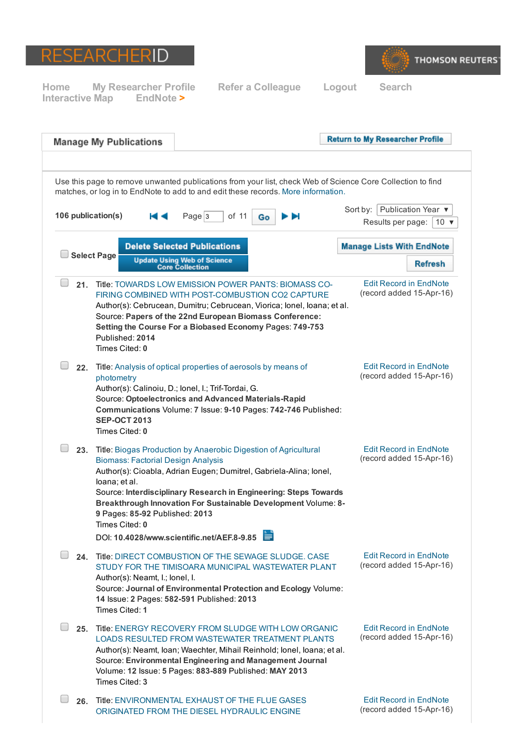



|                    | <b>Manage My Publications</b>                                                                                                                                                                                                                                     |                                                                                                                                                                                  |         | <b>Return to My Researcher Profile</b>                                                                     |
|--------------------|-------------------------------------------------------------------------------------------------------------------------------------------------------------------------------------------------------------------------------------------------------------------|----------------------------------------------------------------------------------------------------------------------------------------------------------------------------------|---------|------------------------------------------------------------------------------------------------------------|
|                    | matches, or log in to EndNote to add to and edit these records. More information.                                                                                                                                                                                 |                                                                                                                                                                                  |         | Use this page to remove unwanted publications from your list, check Web of Science Core Collection to find |
| 106 publication(s) |                                                                                                                                                                                                                                                                   | Page <sub>3</sub><br>of 11                                                                                                                                                       | ы<br>Go | Publication Year ▼<br>Sort by:<br>Results per page:<br>10 $\sqrt{ }$                                       |
|                    | <b>Select Page</b>                                                                                                                                                                                                                                                | <b>Delete Selected Publications</b><br><b>Update Using Web of Science</b>                                                                                                        |         | <b>Manage Lists With EndNote</b>                                                                           |
|                    |                                                                                                                                                                                                                                                                   | <b>Core Collection</b>                                                                                                                                                           |         | <b>Refresh</b>                                                                                             |
| 21.                | Title: TOWARDS LOW EMISSION POWER PANTS: BIOMASS CO-<br>Author(s): Cebrucean, Dumitru; Cebrucean, Viorica; Ionel, Ioana; et al.<br>Published: 2014<br>Times Cited: 0                                                                                              | FIRING COMBINED WITH POST-COMBUSTION CO2 CAPTURE<br>Source: Papers of the 22nd European Biomass Conference:<br>Setting the Course For a Biobased Economy Pages: 749-753          |         | <b>Edit Record in EndNote</b><br>(record added 15-Apr-16)                                                  |
|                    | 22. Title: Analysis of optical properties of aerosols by means of<br>photometry<br>Author(s): Calinoiu, D.; Ionel, I.; Trif-Tordai, G.<br><b>SEP-OCT 2013</b><br>Times Cited: 0                                                                                   | Source: Optoelectronics and Advanced Materials-Rapid<br>Communications Volume: 7 Issue: 9-10 Pages: 742-746 Published:                                                           |         | <b>Edit Record in EndNote</b><br>(record added 15-Apr-16)                                                  |
|                    | 23. Title: Biogas Production by Anaerobic Digestion of Agricultural<br><b>Biomass: Factorial Design Analysis</b><br>Author(s): Cioabla, Adrian Eugen; Dumitrel, Gabriela-Alina; lonel,<br>loana; et al.<br>9 Pages: 85-92 Published: 2013<br>Times Cited: 0       | Source: Interdisciplinary Research in Engineering: Steps Towards<br>Breakthrough Innovation For Sustainable Development Volume: 8-<br>DOI: 10.4028/www.scientific.net/AEF.8-9.85 |         | <b>Edit Record in EndNote</b><br>(record added 15-Apr-16)                                                  |
|                    | 24. Title: DIRECT COMBUSTION OF THE SEWAGE SLUDGE, CASE<br>Author(s): Neamt, I.; lonel, I.<br>Times Cited: 1                                                                                                                                                      | STUDY FOR THE TIMISOARA MUNICIPAL WASTEWATER PLANT<br>Source: Journal of Environmental Protection and Ecology Volume:<br>14 Issue: 2 Pages: 582-591 Published: 2013              |         | <b>Edit Record in EndNote</b><br>(record added 15-Apr-16)                                                  |
|                    | 25. Title: ENERGY RECOVERY FROM SLUDGE WITH LOW ORGANIC<br>LOADS RESULTED FROM WASTEWATER TREATMENT PLANTS<br>Author(s): Neamt, Ioan; Waechter, Mihail Reinhold; Ionel, Ioana; et al.<br>Volume: 12 Issue: 5 Pages: 883-889 Published: MAY 2013<br>Times Cited: 3 | Source: Environmental Engineering and Management Journal                                                                                                                         |         | <b>Edit Record in EndNote</b><br>(record added 15-Apr-16)                                                  |
|                    | 26. Title: ENVIRONMENTAL EXHAUST OF THE FLUE GASES                                                                                                                                                                                                                | ORIGINATED FROM THE DIESEL HYDRAULIC ENGINE                                                                                                                                      |         | <b>Edit Record in EndNote</b><br>(record added 15-Apr-16)                                                  |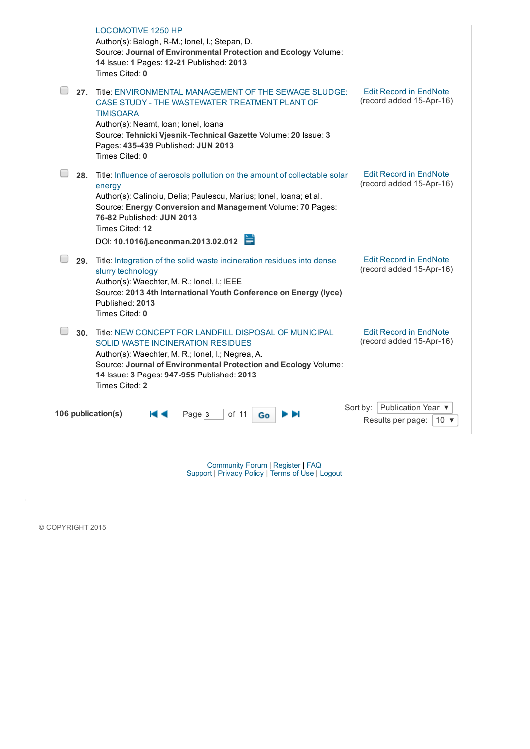|                    | <b>LOCOMOTIVE 1250 HP</b><br>Author(s): Balogh, R-M.; lonel, I.; Stepan, D.<br>Source: Journal of Environmental Protection and Ecology Volume:<br>14 Issue: 1 Pages: 12-21 Published: 2013<br>Times Cited: 0                                                                                                   |                                                                   |
|--------------------|----------------------------------------------------------------------------------------------------------------------------------------------------------------------------------------------------------------------------------------------------------------------------------------------------------------|-------------------------------------------------------------------|
| 27.                | Title: ENVIRONMENTAL MANAGEMENT OF THE SEWAGE SLUDGE:<br>CASE STUDY - THE WASTEWATER TREATMENT PLANT OF<br><b>TIMISOARA</b><br>Author(s): Neamt, Ioan; Ionel, Ioana<br>Source: Tehnicki Vjesnik-Technical Gazette Volume: 20 Issue: 3<br>Pages: 435-439 Published: JUN 2013<br>Times Cited: 0                  | <b>Edit Record in EndNote</b><br>(record added 15-Apr-16)         |
| 28.                | Title: Influence of aerosols pollution on the amount of collectable solar<br>energy<br>Author(s): Calinoiu, Delia; Paulescu, Marius; Ionel, Ioana; et al.<br>Source: Energy Conversion and Management Volume: 70 Pages:<br>76-82 Published: JUN 2013<br>Times Cited: 12<br>DOI: 10.1016/j.enconman.2013.02.012 | <b>Edit Record in EndNote</b><br>(record added 15-Apr-16)         |
|                    | 29. Title: Integration of the solid waste incineration residues into dense<br>slurry technology<br>Author(s): Waechter, M. R.; lonel, I.; IEEE<br>Source: 2013 4th International Youth Conference on Energy (lyce)<br>Published: 2013<br>Times Cited: 0                                                        | <b>Edit Record in EndNote</b><br>(record added 15-Apr-16)         |
|                    | 30. Title: NEW CONCEPT FOR LANDFILL DISPOSAL OF MUNICIPAL<br><b>SOLID WASTE INCINERATION RESIDUES</b><br>Author(s): Waechter, M. R.; lonel, I.; Negrea, A.<br>Source: Journal of Environmental Protection and Ecology Volume:<br>14 Issue: 3 Pages: 947-955 Published: 2013<br>Times Cited: 2                  | <b>Edit Record in EndNote</b><br>(record added 15-Apr-16)         |
| 106 publication(s) | Page 3<br>of 11<br>Go                                                                                                                                                                                                                                                                                          | Sort by: Publication Year ▼<br>Results per page:<br>10 $\sqrt{ }$ |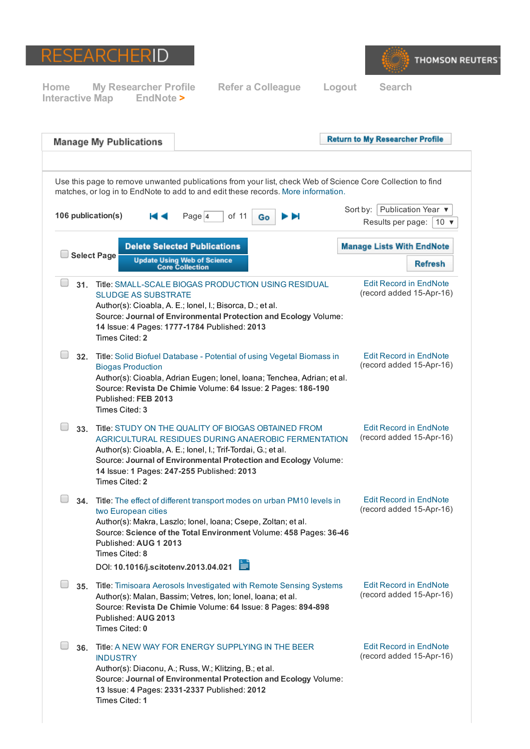



|                    | <b>Manage My Publications</b>                                                                                                                                                                                                                                                                                          | <b>Return to My Researcher Profile</b>                                   |  |  |  |  |  |  |
|--------------------|------------------------------------------------------------------------------------------------------------------------------------------------------------------------------------------------------------------------------------------------------------------------------------------------------------------------|--------------------------------------------------------------------------|--|--|--|--|--|--|
|                    |                                                                                                                                                                                                                                                                                                                        |                                                                          |  |  |  |  |  |  |
|                    | Use this page to remove unwanted publications from your list, check Web of Science Core Collection to find<br>matches, or log in to EndNote to add to and edit these records. More information.                                                                                                                        |                                                                          |  |  |  |  |  |  |
| 106 publication(s) | Page 4<br>of 11<br>н⊲<br>Go                                                                                                                                                                                                                                                                                            | Publication Year ▼<br>Sort by: $ $<br>Results per page:<br>10 $\sqrt{ }$ |  |  |  |  |  |  |
|                    | <b>Delete Selected Publications</b>                                                                                                                                                                                                                                                                                    | <b>Manage Lists With EndNote</b>                                         |  |  |  |  |  |  |
|                    | <b>Select Page</b><br><b>Update Using Web of Science</b><br><b>Core Collection</b>                                                                                                                                                                                                                                     | <b>Refresh</b>                                                           |  |  |  |  |  |  |
| 31.                | Title: SMALL-SCALE BIOGAS PRODUCTION USING RESIDUAL<br><b>SLUDGE AS SUBSTRATE</b><br>Author(s): Cioabla, A. E.; Ionel, I.; Bisorca, D.; et al.<br>Source: Journal of Environmental Protection and Ecology Volume:<br>14 Issue: 4 Pages: 1777-1784 Published: 2013<br>Times Cited: 2                                    | <b>Edit Record in EndNote</b><br>(record added 15-Apr-16)                |  |  |  |  |  |  |
|                    | 32. Title: Solid Biofuel Database - Potential of using Vegetal Biomass in<br><b>Biogas Production</b><br>Author(s): Cioabla, Adrian Eugen; Ionel, Ioana; Tenchea, Adrian; et al.<br>Source: Revista De Chimie Volume: 64 Issue: 2 Pages: 186-190<br>Published: FEB 2013<br>Times Cited: 3                              | <b>Edit Record in EndNote</b><br>(record added 15-Apr-16)                |  |  |  |  |  |  |
| 33.                | Title: STUDY ON THE QUALITY OF BIOGAS OBTAINED FROM<br>AGRICULTURAL RESIDUES DURING ANAEROBIC FERMENTATION<br>Author(s): Cioabla, A. E.; lonel, I.; Trif-Tordai, G.; et al.<br>Source: Journal of Environmental Protection and Ecology Volume:<br>14 Issue: 1 Pages: 247-255 Published: 2013<br>Times Cited: 2         | <b>Edit Record in EndNote</b><br>(record added 15-Apr-16)                |  |  |  |  |  |  |
| 34.                | Title: The effect of different transport modes on urban PM10 levels in<br>two European cities<br>Author(s): Makra, Laszlo; Ionel, Ioana; Csepe, Zoltan; et al.<br>Source: Science of the Total Environment Volume: 458 Pages: 36-46<br>Published: AUG 1 2013<br>Times Cited: 8<br>DOI: 10.1016/j.scitotenv.2013.04.021 | <b>Edit Record in EndNote</b><br>(record added 15-Apr-16)                |  |  |  |  |  |  |
|                    | 35. Title: Timisoara Aerosols Investigated with Remote Sensing Systems<br>Author(s): Malan, Bassim; Vetres, Ion; Ionel, Ioana; et al.<br>Source: Revista De Chimie Volume: 64 Issue: 8 Pages: 894-898<br>Published: AUG 2013<br>Times Cited: 0                                                                         | <b>Edit Record in EndNote</b><br>(record added 15-Apr-16)                |  |  |  |  |  |  |
| 36.                | Title: A NEW WAY FOR ENERGY SUPPLYING IN THE BEER<br><b>INDUSTRY</b><br>Author(s): Diaconu, A.; Russ, W.; Klitzing, B.; et al.<br>Source: Journal of Environmental Protection and Ecology Volume:<br>13 Issue: 4 Pages: 2331-2337 Published: 2012<br>Times Cited: 1                                                    | <b>Edit Record in EndNote</b><br>(record added 15-Apr-16)                |  |  |  |  |  |  |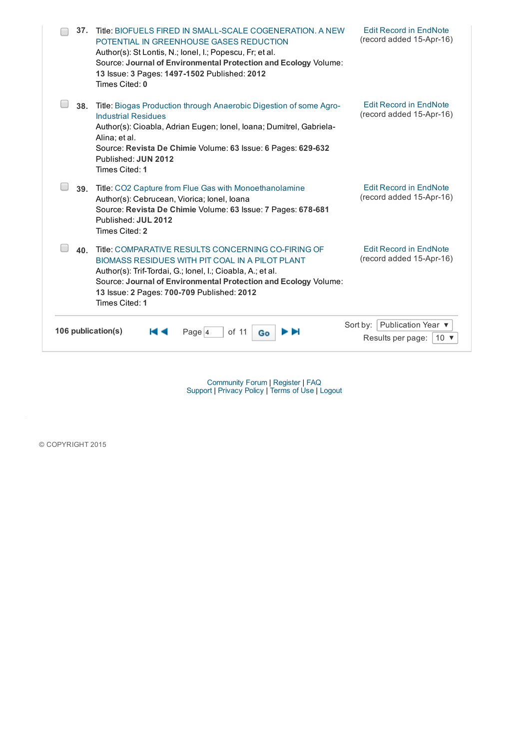| 37.                | Title: BIOFUELS FIRED IN SMALL-SCALE COGENERATION. A NEW<br>POTENTIAL IN GREENHOUSE GASES REDUCTION<br>Author(s): St Lontis, N.; lonel, I.; Popescu, Fr; et al.<br>Source: Journal of Environmental Protection and Ecology Volume:<br>13 Issue: 3 Pages: 1497-1502 Published: 2012<br>Times Cited: 0   | <b>Edit Record in EndNote</b><br>(record added 15-Apr-16)                      |
|--------------------|--------------------------------------------------------------------------------------------------------------------------------------------------------------------------------------------------------------------------------------------------------------------------------------------------------|--------------------------------------------------------------------------------|
| 38.                | Title: Biogas Production through Anaerobic Digestion of some Agro-<br><b>Industrial Residues</b><br>Author(s): Cioabla, Adrian Eugen; Ionel, Ioana; Dumitrel, Gabriela-<br>Alina; et al.<br>Source: Revista De Chimie Volume: 63 Issue: 6 Pages: 629-632<br>Published: JUN 2012<br>Times Cited: 1      | <b>Edit Record in EndNote</b><br>(record added 15-Apr-16)                      |
| 39.                | Title: CO2 Capture from Flue Gas with Monoethanolamine<br>Author(s): Cebrucean, Viorica; Ionel, Ioana<br>Source: Revista De Chimie Volume: 63 Issue: 7 Pages: 678-681<br>Published: JUL 2012<br>Times Cited: 2                                                                                         | <b>Edit Record in EndNote</b><br>(record added 15-Apr-16)                      |
| 40.                | Title: COMPARATIVE RESULTS CONCERNING CO-FIRING OF<br>BIOMASS RESIDUES WITH PIT COAL IN A PILOT PLANT<br>Author(s): Trif-Tordai, G.; lonel, I.; Cioabla, A.; et al.<br>Source: Journal of Environmental Protection and Ecology Volume:<br>13 Issue: 2 Pages: 700-709 Published: 2012<br>Times Cited: 1 | <b>Edit Record in EndNote</b><br>(record added 15-Apr-16)                      |
| 106 publication(s) | of 11<br>Page 4<br>Go                                                                                                                                                                                                                                                                                  | Publication Year ▼<br>Sort by:<br>Results per page:<br>10 $\blacktriangledown$ |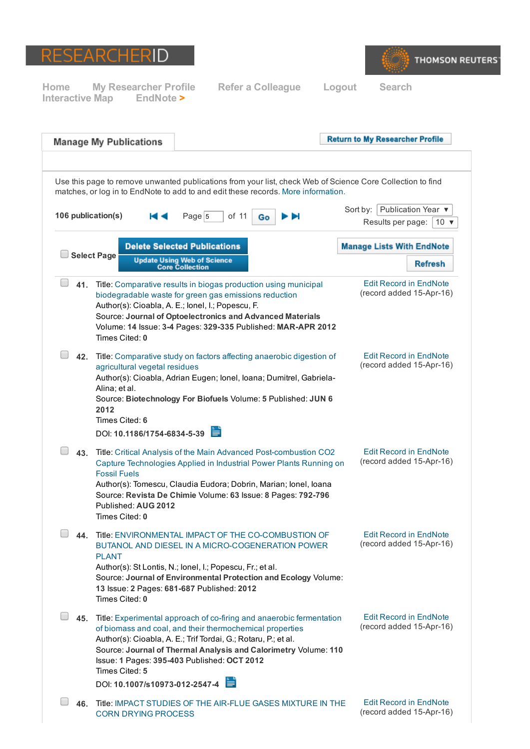



|                                                                                                                                                                                                 | <b>Manage My Publications</b>                                                                           |                                                                                                                                                                                                                                                                                                                          |   | <b>Return to My Researcher Profile</b>                            |  |  |  |
|-------------------------------------------------------------------------------------------------------------------------------------------------------------------------------------------------|---------------------------------------------------------------------------------------------------------|--------------------------------------------------------------------------------------------------------------------------------------------------------------------------------------------------------------------------------------------------------------------------------------------------------------------------|---|-------------------------------------------------------------------|--|--|--|
| Use this page to remove unwanted publications from your list, check Web of Science Core Collection to find<br>matches, or log in to EndNote to add to and edit these records. More information. |                                                                                                         |                                                                                                                                                                                                                                                                                                                          |   |                                                                   |  |  |  |
| 106 publication(s)                                                                                                                                                                              |                                                                                                         | Page $5$<br>of 11<br>Go                                                                                                                                                                                                                                                                                                  | ы | Sort by: Publication Year ▼<br>Results per page:<br>10 $\sqrt{ }$ |  |  |  |
|                                                                                                                                                                                                 | <b>Select Page</b>                                                                                      | <b>Delete Selected Publications</b>                                                                                                                                                                                                                                                                                      |   | <b>Manage Lists With EndNote</b>                                  |  |  |  |
|                                                                                                                                                                                                 |                                                                                                         | <b>Update Using Web of Science</b><br><b>Core Collection</b>                                                                                                                                                                                                                                                             |   | <b>Refresh</b>                                                    |  |  |  |
|                                                                                                                                                                                                 | Times Cited: 0                                                                                          | 41. Title: Comparative results in biogas production using municipal<br>biodegradable waste for green gas emissions reduction<br>Author(s): Cioabla, A. E.; lonel, I.; Popescu, F.<br>Source: Journal of Optoelectronics and Advanced Materials<br>Volume: 14 Issue: 3-4 Pages: 329-335 Published: MAR-APR 2012           |   | <b>Edit Record in EndNote</b><br>(record added 15-Apr-16)         |  |  |  |
|                                                                                                                                                                                                 | agricultural vegetal residues<br>Alina; et al.<br>2012<br>Times Cited: 6<br>DOI: 10.1186/1754-6834-5-39 | 42. Title: Comparative study on factors affecting anaerobic digestion of<br>Author(s): Cioabla, Adrian Eugen; Ionel, Ioana; Dumitrel, Gabriela-<br>Source: Biotechnology For Biofuels Volume: 5 Published: JUN 6                                                                                                         |   | <b>Edit Record in EndNote</b><br>(record added 15-Apr-16)         |  |  |  |
|                                                                                                                                                                                                 | <b>Fossil Fuels</b><br>Published: AUG 2012<br>Times Cited: 0                                            | 43. Title: Critical Analysis of the Main Advanced Post-combustion CO2<br>Capture Technologies Applied in Industrial Power Plants Running on<br>Author(s): Tomescu, Claudia Eudora; Dobrin, Marian; Ionel, Ioana<br>Source: Revista De Chimie Volume: 63 Issue: 8 Pages: 792-796                                          |   | <b>Edit Record in EndNote</b><br>(record added 15-Apr-16)         |  |  |  |
|                                                                                                                                                                                                 | <b>PLANT</b><br>Times Cited: 0                                                                          | 44. Title: ENVIRONMENTAL IMPACT OF THE CO-COMBUSTION OF<br>BUTANOL AND DIESEL IN A MICRO-COGENERATION POWER<br>Author(s): St Lontis, N.; lonel, I.; Popescu, Fr.; et al.<br>Source: Journal of Environmental Protection and Ecology Volume:<br>13 Issue: 2 Pages: 681-687 Published: 2012                                |   | <b>Edit Record in EndNote</b><br>(record added 15-Apr-16)         |  |  |  |
|                                                                                                                                                                                                 | Times Cited: 5<br>DOI: 10.1007/s10973-012-2547-4                                                        | 45. Title: Experimental approach of co-firing and anaerobic fermentation<br>of biomass and coal, and their thermochemical properties<br>Author(s): Cioabla, A. E.; Trif Tordai, G.; Rotaru, P.; et al.<br>Source: Journal of Thermal Analysis and Calorimetry Volume: 110<br>Issue: 1 Pages: 395-403 Published: OCT 2012 |   | <b>Edit Record in EndNote</b><br>(record added 15-Apr-16)         |  |  |  |
|                                                                                                                                                                                                 | <b>CORN DRYING PROCESS</b>                                                                              | 46. Title: IMPACT STUDIES OF THE AIR-FLUE GASES MIXTURE IN THE                                                                                                                                                                                                                                                           |   | <b>Edit Record in EndNote</b><br>(record added 15-Apr-16)         |  |  |  |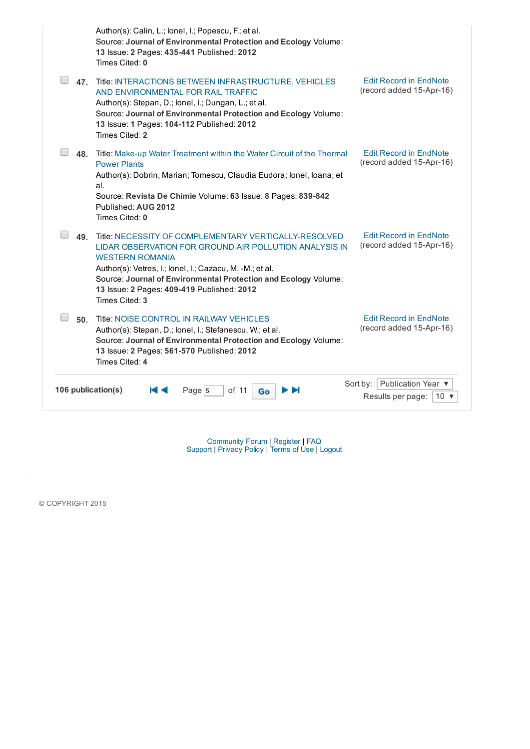|                    | Author(s): Calin, L.; lonel, I.; Popescu, F.; et al.<br>Source: Journal of Environmental Protection and Ecology Volume:<br>13 Issue: 2 Pages: 435-441 Published: 2012<br>Times Cited: 0                                                                                                                                                  |                                                                 |
|--------------------|------------------------------------------------------------------------------------------------------------------------------------------------------------------------------------------------------------------------------------------------------------------------------------------------------------------------------------------|-----------------------------------------------------------------|
| 47.                | Title: INTERACTIONS BETWEEN INFRASTRUCTURE, VEHICLES<br>AND ENVIRONMENTAL FOR RAIL TRAFFIC<br>Author(s): Stepan, D.; lonel, I.; Dungan, L.; et al.<br>Source: Journal of Environmental Protection and Ecology Volume:<br>13 Issue: 1 Pages: 104-112 Published: 2012<br>Times Cited: 2                                                    | <b>Edit Record in EndNote</b><br>(record added 15-Apr-16)       |
| 48.                | Title: Make-up Water Treatment within the Water Circuit of the Thermal<br><b>Power Plants</b><br>Author(s): Dobrin, Marian; Tomescu, Claudia Eudora; Ionel, Ioana; et<br>al.<br>Source: Revista De Chimie Volume: 63 Issue: 8 Pages: 839-842<br>Published: AUG 2012<br>Times Cited: 0                                                    | <b>Edit Record in EndNote</b><br>(record added 15-Apr-16)       |
| 49.                | Title: NECESSITY OF COMPLEMENTARY VERTICALLY-RESOLVED<br>LIDAR OBSERVATION FOR GROUND AIR POLLUTION ANALYSIS IN<br><b>WESTERN ROMANIA</b><br>Author(s): Vetres, I.; lonel, I.; Cazacu, M. -M.; et al.<br>Source: Journal of Environmental Protection and Ecology Volume:<br>13 Issue: 2 Pages: 409-419 Published: 2012<br>Times Cited: 3 | <b>Edit Record in EndNote</b><br>(record added 15-Apr-16)       |
| 50.                | Title: NOISE CONTROL IN RAILWAY VEHICLES<br>Author(s): Stepan, D.; lonel, I.; Stefanescu, W.; et al.<br>Source: Journal of Environmental Protection and Ecology Volume:<br>13 Issue: 2 Pages: 561-570 Published: 2012<br>Times Cited: 4                                                                                                  | <b>Edit Record in EndNote</b><br>(record added 15-Apr-16)       |
| 106 publication(s) | Page 5<br>of 11<br>Go                                                                                                                                                                                                                                                                                                                    | Sort by: Publication Year ▼<br>Results per page:<br>$10 \times$ |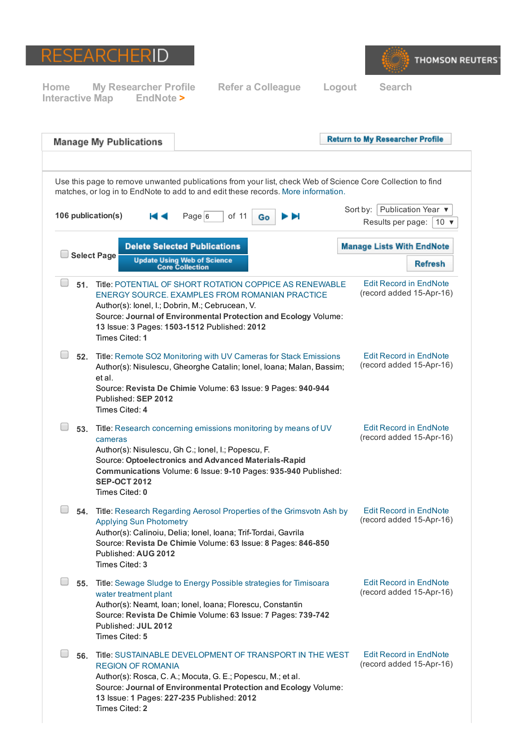



| <b>Manage My Publications</b>                           |                                                       |                                                                                                                                                                                                                                                                                 |    | <b>Return to My Researcher Profile</b>                                                                     |
|---------------------------------------------------------|-------------------------------------------------------|---------------------------------------------------------------------------------------------------------------------------------------------------------------------------------------------------------------------------------------------------------------------------------|----|------------------------------------------------------------------------------------------------------------|
|                                                         |                                                       | matches, or log in to EndNote to add to and edit these records. More information.                                                                                                                                                                                               |    | Use this page to remove unwanted publications from your list, check Web of Science Core Collection to find |
| 106 publication(s)                                      | н⊲                                                    | Page 6<br>of 11                                                                                                                                                                                                                                                                 | Go | Sort by:   Publication Year ▼<br>Results per page:<br>$10 \times$                                          |
| <b>Select Page</b>                                      |                                                       | <b>Delete Selected Publications</b>                                                                                                                                                                                                                                             |    | <b>Manage Lists With EndNote</b>                                                                           |
|                                                         |                                                       | <b>Update Using Web of Science</b><br><b>Core Collection</b>                                                                                                                                                                                                                    |    | <b>Refresh</b>                                                                                             |
| 51.<br>Times Cited: 1                                   |                                                       | Title: POTENTIAL OF SHORT ROTATION COPPICE AS RENEWABLE<br>ENERGY SOURCE, EXAMPLES FROM ROMANIAN PRACTICE<br>Author(s): lonel, I.; Dobrin, M.; Cebrucean, V.<br>Source: Journal of Environmental Protection and Ecology Volume:<br>13 Issue: 3 Pages: 1503-1512 Published: 2012 |    | <b>Edit Record in EndNote</b><br>(record added 15-Apr-16)                                                  |
| 52.<br>et al.<br>Times Cited: 4                         | Published: SEP 2012                                   | Title: Remote SO2 Monitoring with UV Cameras for Stack Emissions<br>Author(s): Nisulescu, Gheorghe Catalin; Ionel, Ioana; Malan, Bassim;<br>Source: Revista De Chimie Volume: 63 Issue: 9 Pages: 940-944                                                                        |    | <b>Edit Record in EndNote</b><br>(record added 15-Apr-16)                                                  |
| 53.<br>cameras<br><b>SEP-OCT 2012</b><br>Times Cited: 0 |                                                       | Title: Research concerning emissions monitoring by means of UV<br>Author(s): Nisulescu, Gh C.; lonel, I.; Popescu, F.<br>Source: Optoelectronics and Advanced Materials-Rapid<br>Communications Volume: 6 Issue: 9-10 Pages: 935-940 Published:                                 |    | <b>Edit Record in EndNote</b><br>(record added 15-Apr-16)                                                  |
| Times Cited: 3                                          | <b>Applying Sun Photometry</b><br>Published: AUG 2012 | 54. Title: Research Regarding Aerosol Properties of the Grimsvotn Ash by<br>Author(s): Calinoiu, Delia; Ionel, Ioana; Trif-Tordai, Gavrila<br>Source: Revista De Chimie Volume: 63 Issue: 8 Pages: 846-850                                                                      |    | <b>Edit Record in EndNote</b><br>(record added 15-Apr-16)                                                  |
| 55.<br>Times Cited: 5                                   | water treatment plant<br>Published: JUL 2012          | Title: Sewage Sludge to Energy Possible strategies for Timisoara<br>Author(s): Neamt, Ioan; Ionel, Ioana; Florescu, Constantin<br>Source: Revista De Chimie Volume: 63 Issue: 7 Pages: 739-742                                                                                  |    | <b>Edit Record in EndNote</b><br>(record added 15-Apr-16)                                                  |
| 56.<br>Times Cited: 2                                   | <b>REGION OF ROMANIA</b>                              | Title: SUSTAINABLE DEVELOPMENT OF TRANSPORT IN THE WEST<br>Author(s): Rosca, C. A.; Mocuta, G. E.; Popescu, M.; et al.<br>Source: Journal of Environmental Protection and Ecology Volume:<br>13 Issue: 1 Pages: 227-235 Published: 2012                                         |    | <b>Edit Record in EndNote</b><br>(record added 15-Apr-16)                                                  |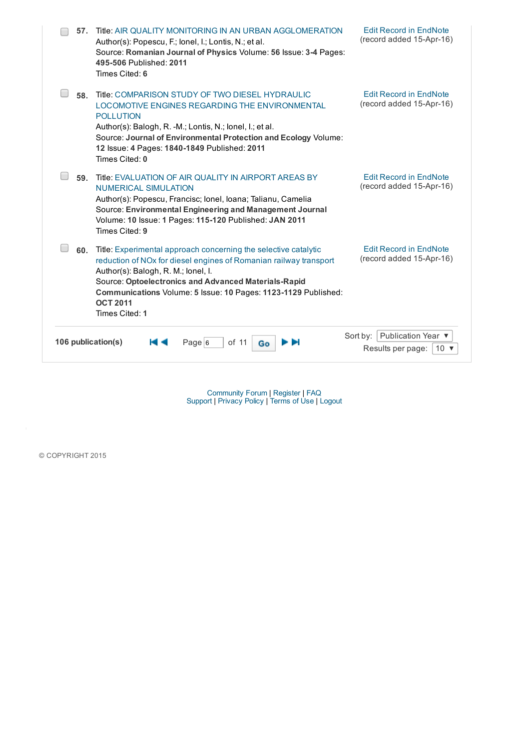| 57.                | Title: AIR QUALITY MONITORING IN AN URBAN AGGLOMERATION<br>Author(s): Popescu, F.; lonel, I.; Lontis, N.; et al.<br>Source: Romanian Journal of Physics Volume: 56 Issue: 3-4 Pages:<br>495-506 Published: 2011<br>Times Cited: 6                                                                                                          | <b>Edit Record in EndNote</b><br>(record added 15-Apr-16)                      |  |
|--------------------|--------------------------------------------------------------------------------------------------------------------------------------------------------------------------------------------------------------------------------------------------------------------------------------------------------------------------------------------|--------------------------------------------------------------------------------|--|
| 58.                | Title: COMPARISON STUDY OF TWO DIESEL HYDRAULIC<br><b>LOCOMOTIVE ENGINES REGARDING THE ENVIRONMENTAL</b><br><b>POLLUTION</b><br>Author(s): Balogh, R. -M.; Lontis, N.; lonel, I.; et al.<br>Source: Journal of Environmental Protection and Ecology Volume:<br>12 Issue: 4 Pages: 1840-1849 Published: 2011<br>Times Cited: 0              | <b>Edit Record in EndNote</b><br>(record added 15-Apr-16)                      |  |
| 59.                | Title: EVALUATION OF AIR QUALITY IN AIRPORT AREAS BY<br><b>NUMERICAL SIMULATION</b><br>Author(s): Popescu, Francisc; Ionel, Ioana; Talianu, Camelia<br>Source: Environmental Engineering and Management Journal<br>Volume: 10 Issue: 1 Pages: 115-120 Published: JAN 2011<br>Times Cited: 9                                                | <b>Edit Record in EndNote</b><br>(record added 15-Apr-16)                      |  |
| 60.                | Title: Experimental approach concerning the selective catalytic<br>reduction of NOx for diesel engines of Romanian railway transport<br>Author(s): Balogh, R. M.; lonel, I.<br>Source: Optoelectronics and Advanced Materials-Rapid<br>Communications Volume: 5 Issue: 10 Pages: 1123-1129 Published:<br><b>OCT 2011</b><br>Times Cited: 1 | <b>Edit Record in EndNote</b><br>(record added 15-Apr-16)                      |  |
| 106 publication(s) | of 11<br>Page $6$<br>Go                                                                                                                                                                                                                                                                                                                    | Publication Year ▼<br>Sort by:<br>Results per page:<br>10 $\blacktriangledown$ |  |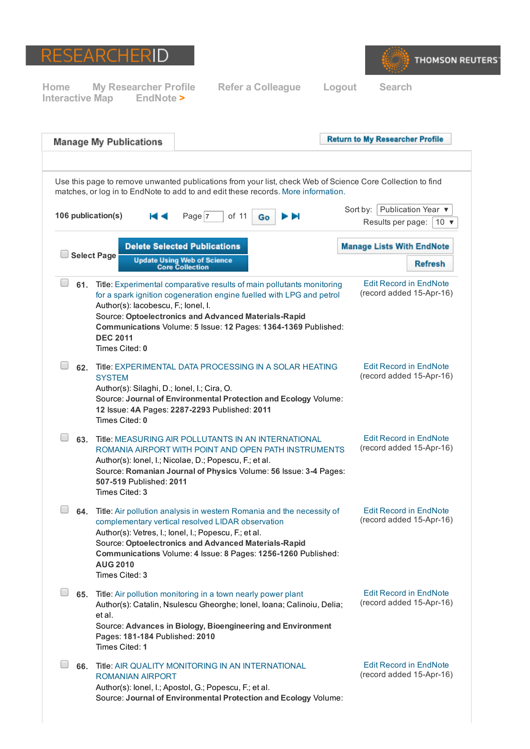



|     | <b>Manage My Publications</b>                                                  |                                                                                                                                                                                                                                                                                                              |    | <b>Return to My Researcher Profile</b>           |                               |
|-----|--------------------------------------------------------------------------------|--------------------------------------------------------------------------------------------------------------------------------------------------------------------------------------------------------------------------------------------------------------------------------------------------------------|----|--------------------------------------------------|-------------------------------|
|     |                                                                                | Use this page to remove unwanted publications from your list, check Web of Science Core Collection to find<br>matches, or log in to EndNote to add to and edit these records. More information.                                                                                                              |    |                                                  |                               |
|     | 106 publication(s)                                                             | Page 7<br>of 11<br>Go                                                                                                                                                                                                                                                                                        | ÞИ | Sort by: Publication Year ▼<br>Results per page: | 10 $\blacktriangledown$       |
|     | <b>Select Page</b>                                                             | <b>Delete Selected Publications</b>                                                                                                                                                                                                                                                                          |    | <b>Manage Lists With EndNote</b>                 |                               |
|     |                                                                                | <b>Update Using Web of Science</b><br><b>Core Collection</b>                                                                                                                                                                                                                                                 |    |                                                  | <b>Refresh</b>                |
|     | Author(s): lacobescu, F.; lonel, I.<br><b>DEC 2011</b><br>Times Cited: 0       | 61. Title: Experimental comparative results of main pollutants monitoring<br>for a spark ignition cogeneration engine fuelled with LPG and petrol<br>Source: Optoelectronics and Advanced Materials-Rapid<br>Communications Volume: 5 Issue: 12 Pages: 1364-1369 Published:                                  |    | (record added 15-Apr-16)                         | <b>Edit Record in EndNote</b> |
| 62. | <b>SYSTEM</b><br>Author(s): Silaghi, D.; lonel, I.; Cira, O.<br>Times Cited: 0 | Title: EXPERIMENTAL DATA PROCESSING IN A SOLAR HEATING<br>Source: Journal of Environmental Protection and Ecology Volume:<br>12 Issue: 4A Pages: 2287-2293 Published: 2011                                                                                                                                   |    | (record added 15-Apr-16)                         | <b>Edit Record in EndNote</b> |
| 63. | 507-519 Published: 2011<br>Times Cited: 3                                      | Title: MEASURING AIR POLLUTANTS IN AN INTERNATIONAL<br>ROMANIA AIRPORT WITH POINT AND OPEN PATH INSTRUMENTS<br>Author(s): lonel, I.; Nicolae, D.; Popescu, F.; et al.<br>Source: Romanian Journal of Physics Volume: 56 Issue: 3-4 Pages:                                                                    |    | (record added 15-Apr-16)                         | <b>Edit Record in EndNote</b> |
| 64. | <b>AUG 2010</b><br>Times Cited: 3                                              | Title: Air pollution analysis in western Romania and the necessity of<br>complementary vertical resolved LIDAR observation<br>Author(s): Vetres, I.; lonel, I.; Popescu, F.; et al.<br>Source: Optoelectronics and Advanced Materials-Rapid<br>Communications Volume: 4 Issue: 8 Pages: 1256-1260 Published: |    | (record added 15-Apr-16)                         | <b>Edit Record in EndNote</b> |
|     | et al.<br>Pages: 181-184 Published: 2010<br>Times Cited: 1                     | 65. Title: Air pollution monitoring in a town nearly power plant<br>Author(s): Catalin, Nsulescu Gheorghe; Ionel, Ioana; Calinoiu, Delia;<br>Source: Advances in Biology, Bioengineering and Environment                                                                                                     |    | (record added 15-Apr-16)                         | <b>Edit Record in EndNote</b> |
| 66. | <b>ROMANIAN AIRPORT</b>                                                        | Title: AIR QUALITY MONITORING IN AN INTERNATIONAL<br>Author(s): lonel, I.; Apostol, G.; Popescu, F.; et al.<br>Source: Journal of Environmental Protection and Ecology Volume:                                                                                                                               |    | (record added 15-Apr-16)                         | <b>Edit Record in EndNote</b> |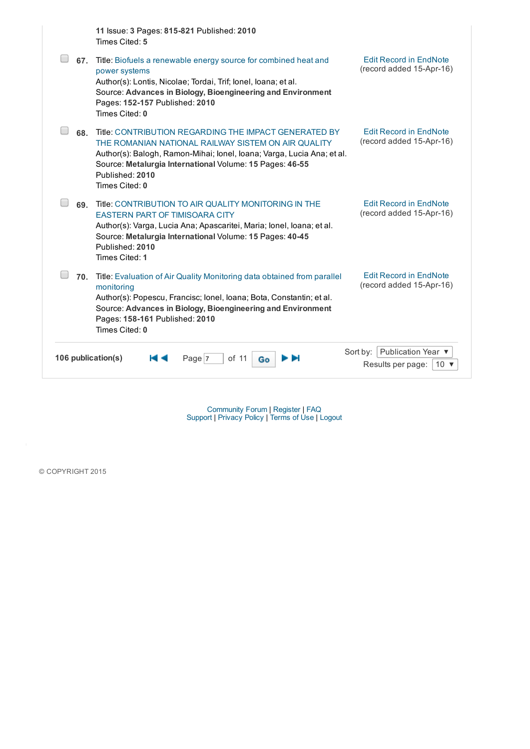|                    | 11 Issue: 3 Pages: 815-821 Published: 2010<br>Times Cited: 5                                                                                                                                                                                                                            |                                                                   |
|--------------------|-----------------------------------------------------------------------------------------------------------------------------------------------------------------------------------------------------------------------------------------------------------------------------------------|-------------------------------------------------------------------|
| 67.                | Title: Biofuels a renewable energy source for combined heat and<br>power systems<br>Author(s): Lontis, Nicolae; Tordai, Trif; lonel, loana; et al.<br>Source: Advances in Biology, Bioengineering and Environment<br>Pages: 152-157 Published: 2010<br>Times Cited: 0                   | <b>Edit Record in EndNote</b><br>(record added 15-Apr-16)         |
| 68.                | Title: CONTRIBUTION REGARDING THE IMPACT GENERATED BY<br>THE ROMANIAN NATIONAL RAILWAY SISTEM ON AIR QUALITY<br>Author(s): Balogh, Ramon-Mihai; Ionel, Ioana; Varga, Lucia Ana; et al.<br>Source: Metalurgia International Volume: 15 Pages: 46-55<br>Published: 2010<br>Times Cited: 0 | <b>Edit Record in EndNote</b><br>(record added 15-Apr-16)         |
| 69.                | Title: CONTRIBUTION TO AIR QUALITY MONITORING IN THE<br><b>EASTERN PART OF TIMISOARA CITY</b><br>Author(s): Varga, Lucia Ana; Apascaritei, Maria; Ionel, Ioana; et al.<br>Source: Metalurgia International Volume: 15 Pages: 40-45<br>Published: 2010<br>Times Cited: 1                 | <b>Edit Record in EndNote</b><br>(record added 15-Apr-16)         |
| 70.                | Title: Evaluation of Air Quality Monitoring data obtained from parallel<br>monitoring<br>Author(s): Popescu, Francisc; Ionel, Ioana; Bota, Constantin; et al.<br>Source: Advances in Biology, Bioengineering and Environment<br>Pages: 158-161 Published: 2010<br>Times Cited: 0        | <b>Edit Record in EndNote</b><br>(record added 15-Apr-16)         |
| 106 publication(s) | of 11<br>Page 7<br>Go                                                                                                                                                                                                                                                                   | Sort by: Publication Year ▼<br>Results per page:<br>10 $\sqrt{ }$ |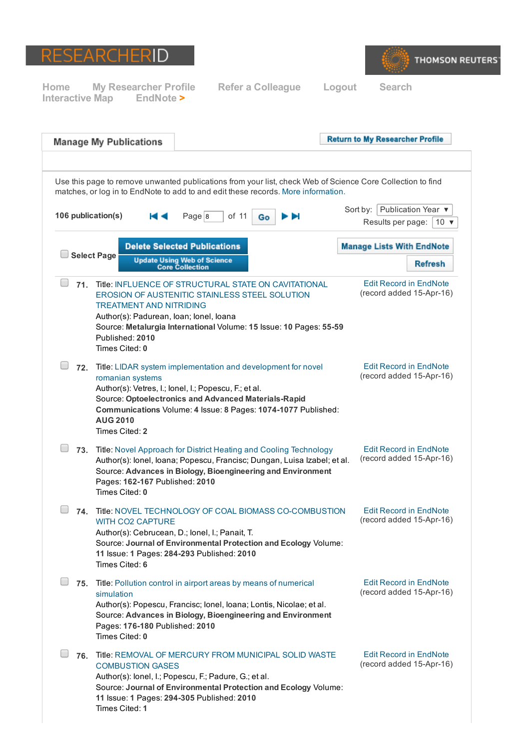



|     | <b>Manage My Publications</b>                                                                                                                                                                                                                                                                           |                                                              |    | <b>Return to My Researcher Profile</b>                                                                     |
|-----|---------------------------------------------------------------------------------------------------------------------------------------------------------------------------------------------------------------------------------------------------------------------------------------------------------|--------------------------------------------------------------|----|------------------------------------------------------------------------------------------------------------|
|     | matches, or log in to EndNote to add to and edit these records. More information.                                                                                                                                                                                                                       |                                                              |    | Use this page to remove unwanted publications from your list, check Web of Science Core Collection to find |
|     | 106 publication(s)                                                                                                                                                                                                                                                                                      | of 11<br>Page 8                                              | Go | Publication Year ▼<br>Sort by: $ $<br>Results per page:<br>10 $\blacktriangledown$                         |
|     |                                                                                                                                                                                                                                                                                                         | <b>Delete Selected Publications</b>                          |    | <b>Manage Lists With EndNote</b>                                                                           |
|     | <b>Select Page</b>                                                                                                                                                                                                                                                                                      | <b>Update Using Web of Science</b><br><b>Core Collection</b> |    | <b>Refresh</b>                                                                                             |
| 71. | Title: INFLUENCE OF STRUCTURAL STATE ON CAVITATIONAL<br>EROSION OF AUSTENITIC STAINLESS STEEL SOLUTION<br><b>TREATMENT AND NITRIDING</b><br>Author(s): Padurean, Ioan; Ionel, Ioana<br>Source: Metalurgia International Volume: 15 Issue: 10 Pages: 55-59<br>Published: 2010<br>Times Cited: 0          |                                                              |    | <b>Edit Record in EndNote</b><br>(record added 15-Apr-16)                                                  |
| 72. | Title: LIDAR system implementation and development for novel<br>romanian systems<br>Author(s): Vetres, I.; lonel, I.; Popescu, F.; et al.<br>Source: Optoelectronics and Advanced Materials-Rapid<br>Communications Volume: 4 Issue: 8 Pages: 1074-1077 Published:<br><b>AUG 2010</b><br>Times Cited: 2 |                                                              |    | <b>Edit Record in EndNote</b><br>(record added 15-Apr-16)                                                  |
| 73. | Title: Novel Approach for District Heating and Cooling Technology<br>Author(s): lonel, loana; Popescu, Francisc; Dungan, Luisa Izabel; et al.<br>Source: Advances in Biology, Bioengineering and Environment<br>Pages: 162-167 Published: 2010<br>Times Cited: 0                                        |                                                              |    | <b>Edit Record in EndNote</b><br>(record added 15-Apr-16)                                                  |
| 74. | Title: NOVEL TECHNOLOGY OF COAL BIOMASS CO-COMBUSTION<br><b>WITH CO2 CAPTURE</b><br>Author(s): Cebrucean, D.; lonel, I.; Panait, T.<br>Source: Journal of Environmental Protection and Ecology Volume:<br>11 Issue: 1 Pages: 284-293 Published: 2010<br>Times Cited: 6                                  |                                                              |    | <b>Edit Record in EndNote</b><br>(record added 15-Apr-16)                                                  |
| 75. | Title: Pollution control in airport areas by means of numerical<br>simulation<br>Author(s): Popescu, Francisc; Ionel, Ioana; Lontis, Nicolae; et al.<br>Source: Advances in Biology, Bioengineering and Environment<br>Pages: 176-180 Published: 2010<br>Times Cited: 0                                 |                                                              |    | <b>Edit Record in EndNote</b><br>(record added 15-Apr-16)                                                  |
| 76. | Title: REMOVAL OF MERCURY FROM MUNICIPAL SOLID WASTE<br><b>COMBUSTION GASES</b><br>Author(s): lonel, I.; Popescu, F.; Padure, G.; et al.<br>Source: Journal of Environmental Protection and Ecology Volume:<br>11 Issue: 1 Pages: 294-305 Published: 2010<br>Times Cited: 1                             |                                                              |    | <b>Edit Record in EndNote</b><br>(record added 15-Apr-16)                                                  |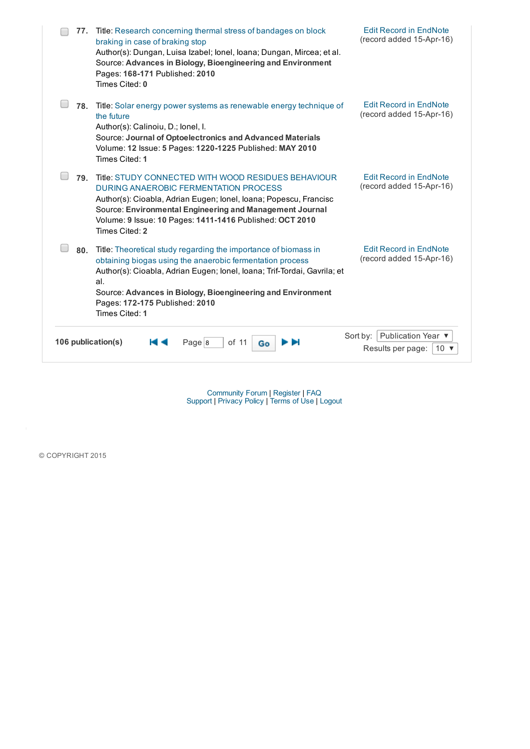| 77.                | Title: Research concerning thermal stress of bandages on block<br>braking in case of braking stop<br>Author(s): Dungan, Luisa Izabel; Ionel, Ioana; Dungan, Mircea; et al.<br>Source: Advances in Biology, Bioengineering and Environment<br>Pages: 168-171 Published: 2010<br>Times Cited: 0                                      | <b>Edit Record in EndNote</b><br>(record added 15-Apr-16)                      |
|--------------------|------------------------------------------------------------------------------------------------------------------------------------------------------------------------------------------------------------------------------------------------------------------------------------------------------------------------------------|--------------------------------------------------------------------------------|
| 78.                | Title: Solar energy power systems as renewable energy technique of<br>the future<br>Author(s): Calinoiu, D.; lonel, I.<br>Source: Journal of Optoelectronics and Advanced Materials<br>Volume: 12 Issue: 5 Pages: 1220-1225 Published: MAY 2010<br>Times Cited: 1                                                                  | <b>Edit Record in EndNote</b><br>(record added 15-Apr-16)                      |
| 79.                | Title: STUDY CONNECTED WITH WOOD RESIDUES BEHAVIOUR<br>DURING ANAEROBIC FERMENTATION PROCESS<br>Author(s): Cioabla, Adrian Eugen; Ionel, Ioana; Popescu, Francisc<br>Source: Environmental Engineering and Management Journal<br>Volume: 9 Issue: 10 Pages: 1411-1416 Published: OCT 2010<br>Times Cited: 2                        | <b>Edit Record in EndNote</b><br>(record added 15-Apr-16)                      |
| 80.                | Title: Theoretical study regarding the importance of biomass in<br>obtaining biogas using the anaerobic fermentation process<br>Author(s): Cioabla, Adrian Eugen; Ionel, Ioana; Trif-Tordai, Gavrila; et<br>al.<br>Source: Advances in Biology, Bioengineering and Environment<br>Pages: 172-175 Published: 2010<br>Times Cited: 1 | <b>Edit Record in EndNote</b><br>(record added 15-Apr-16)                      |
| 106 publication(s) | Page $ 8 $<br>of 11<br>Go                                                                                                                                                                                                                                                                                                          | Publication Year ▼<br>Sort by:<br>Results per page:<br>10 $\blacktriangledown$ |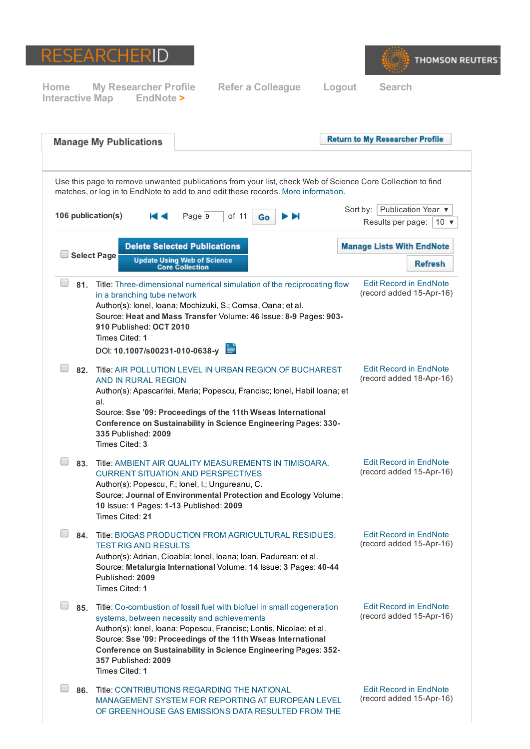



| <b>Manage My Publications</b>                                                                                                                               |                                                                                                                                                                                                                                                                                                                                            | <b>Return to My Researcher Profile</b>                                                                     |
|-------------------------------------------------------------------------------------------------------------------------------------------------------------|--------------------------------------------------------------------------------------------------------------------------------------------------------------------------------------------------------------------------------------------------------------------------------------------------------------------------------------------|------------------------------------------------------------------------------------------------------------|
|                                                                                                                                                             | matches, or log in to EndNote to add to and edit these records. More information.                                                                                                                                                                                                                                                          | Use this page to remove unwanted publications from your list, check Web of Science Core Collection to find |
| 106 publication(s)                                                                                                                                          | Page 9<br>of 11<br>ÞЫ<br>Go                                                                                                                                                                                                                                                                                                                | Sort by: Publication Year ▼                                                                                |
|                                                                                                                                                             |                                                                                                                                                                                                                                                                                                                                            | Results per page:<br>10 $\blacktriangledown$                                                               |
| <b>Select Page</b>                                                                                                                                          | <b>Delete Selected Publications</b>                                                                                                                                                                                                                                                                                                        | <b>Manage Lists With EndNote</b>                                                                           |
|                                                                                                                                                             | <b>Update Using Web of Science</b><br><b>Core Collection</b>                                                                                                                                                                                                                                                                               | <b>Refresh</b>                                                                                             |
| in a branching tube network<br>910 Published: OCT 2010<br>Times Cited: 1<br>DOI: 10.1007/s00231-010-0638-y                                                  | 81. Title: Three-dimensional numerical simulation of the reciprocating flow<br>Author(s): lonel, loana; Mochizuki, S.; Comsa, Oana; et al.<br>Source: Heat and Mass Transfer Volume: 46 Issue: 8-9 Pages: 903-                                                                                                                             | <b>Edit Record in EndNote</b><br>(record added 15-Apr-16)                                                  |
|                                                                                                                                                             | 82. Title: AIR POLLUTION LEVEL IN URBAN REGION OF BUCHAREST                                                                                                                                                                                                                                                                                | <b>Edit Record in EndNote</b>                                                                              |
| AND IN RURAL REGION<br>al.                                                                                                                                  | Author(s): Apascaritei, Maria; Popescu, Francisc; Ionel, Habil Ioana; et                                                                                                                                                                                                                                                                   | (record added 18-Apr-16)                                                                                   |
| 335 Published: 2009<br>Times Cited: 3                                                                                                                       | Source: Sse '09: Proceedings of the 11th Wseas International<br>Conference on Sustainability in Science Engineering Pages: 330-                                                                                                                                                                                                            |                                                                                                            |
| <b>CURRENT SITUATION AND PERSPECTIVES</b><br>Author(s): Popescu, F.; lonel, I.; Ungureanu, C.<br>10 Issue: 1 Pages: 1-13 Published: 2009<br>Times Cited: 21 | 83. Title: AMBIENT AIR QUALITY MEASUREMENTS IN TIMISOARA.<br>Source: Journal of Environmental Protection and Ecology Volume:                                                                                                                                                                                                               | <b>Edit Record in EndNote</b><br>(record added 15-Apr-16)                                                  |
| <b>TEST RIG AND RESULTS</b><br>Published: 2009<br>Times Cited: 1                                                                                            | 84. Title: BIOGAS PRODUCTION FROM AGRICULTURAL RESIDUES.<br>Author(s): Adrian, Cioabla; Ionel, Ioana; Ioan, Padurean; et al.<br>Source: Metalurgia International Volume: 14 Issue: 3 Pages: 40-44                                                                                                                                          | <b>Edit Record in EndNote</b><br>(record added 15-Apr-16)                                                  |
| 357 Published: 2009<br>Times Cited: 1                                                                                                                       | 85. Title: Co-combustion of fossil fuel with biofuel in small cogeneration<br>systems, between necessity and achievements<br>Author(s): lonel, loana; Popescu, Francisc; Lontis, Nicolae; et al.<br>Source: Sse '09: Proceedings of the 11th Wseas International<br><b>Conference on Sustainability in Science Engineering Pages: 352-</b> | <b>Edit Record in EndNote</b><br>(record added 15-Apr-16)                                                  |
|                                                                                                                                                             | 86. Title: CONTRIBUTIONS REGARDING THE NATIONAL<br>MANAGEMENT SYSTEM FOR REPORTING AT EUROPEAN LEVEL<br>OF GREENHOUSE GAS EMISSIONS DATA RESULTED FROM THE                                                                                                                                                                                 | <b>Edit Record in EndNote</b><br>(record added 15-Apr-16)                                                  |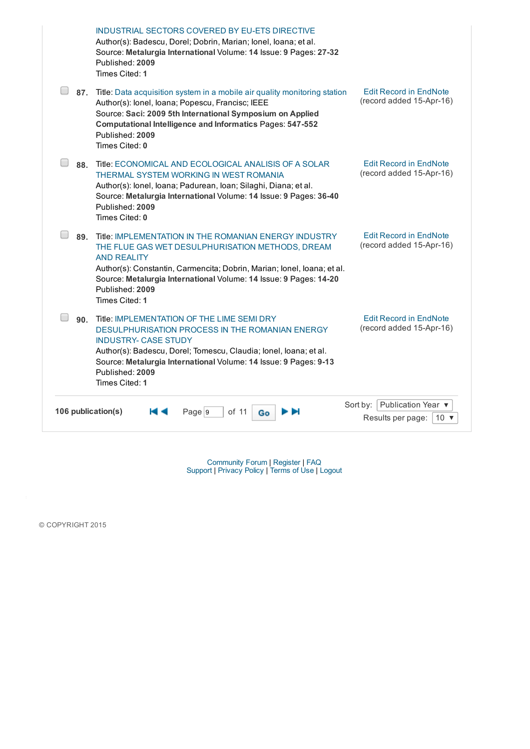|                    | INDUSTRIAL SECTORS COVERED BY EU-ETS DIRECTIVE<br>Author(s): Badescu, Dorel; Dobrin, Marian; Ionel, Ioana; et al.<br>Source: Metalurgia International Volume: 14 Issue: 9 Pages: 27-32<br>Published: 2009<br>Times Cited: 1                                                                                          |                                                                                |
|--------------------|----------------------------------------------------------------------------------------------------------------------------------------------------------------------------------------------------------------------------------------------------------------------------------------------------------------------|--------------------------------------------------------------------------------|
| 87.                | Title: Data acquisition system in a mobile air quality monitoring station<br>Author(s): lonel, loana; Popescu, Francisc; IEEE<br>Source: Saci: 2009 5th International Symposium on Applied<br><b>Computational Intelligence and Informatics Pages: 547-552</b><br>Published: 2009<br>Times Cited: 0                  | <b>Edit Record in EndNote</b><br>(record added 15-Apr-16)                      |
| 88.                | Title: ECONOMICAL AND ECOLOGICAL ANALISIS OF A SOLAR<br>THERMAL SYSTEM WORKING IN WEST ROMANIA<br>Author(s): lonel, loana; Padurean, loan; Silaghi, Diana; et al.<br>Source: Metalurgia International Volume: 14 Issue: 9 Pages: 36-40<br>Published: 2009<br>Times Cited: 0                                          | <b>Edit Record in EndNote</b><br>(record added 15-Apr-16)                      |
| 89.                | Title: IMPLEMENTATION IN THE ROMANIAN ENERGY INDUSTRY<br>THE FLUE GAS WET DESULPHURISATION METHODS, DREAM<br><b>AND REALITY</b><br>Author(s): Constantin, Carmencita; Dobrin, Marian; Ionel, Ioana; et al.<br>Source: Metalurgia International Volume: 14 Issue: 9 Pages: 14-20<br>Published: 2009<br>Times Cited: 1 | <b>Edit Record in EndNote</b><br>(record added 15-Apr-16)                      |
| 90.                | Title: IMPLEMENTATION OF THE LIME SEMI DRY<br><b>DESULPHURISATION PROCESS IN THE ROMANIAN ENERGY</b><br><b>INDUSTRY- CASE STUDY</b><br>Author(s): Badescu, Dorel; Tomescu, Claudia; Ionel, Ioana; et al.<br>Source: Metalurgia International Volume: 14 Issue: 9 Pages: 9-13<br>Published: 2009<br>Times Cited: 1    | <b>Edit Record in EndNote</b><br>(record added 15-Apr-16)                      |
| 106 publication(s) | Page 9<br>of 11<br>Go                                                                                                                                                                                                                                                                                                | Publication Year ▼<br>Sort by:<br>Results per page:<br>10 $\blacktriangledown$ |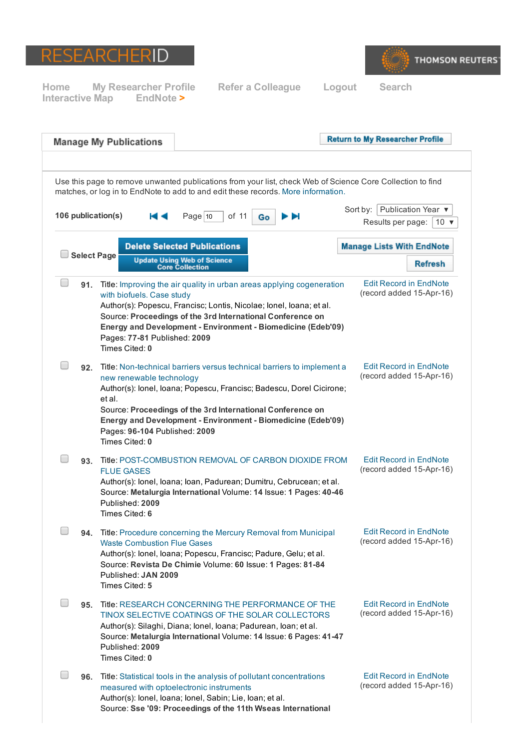



**Return to My Researcher Profile Manage My Publications** Use this page to remove unwanted publications from your list, check Web of Science Core Collection to find matches, or log in to EndNote to add to and edit these records. More [information.](javascript:openGatewayLink() Sort by: Publication Year ▼ 106 publication(s)  $\blacksquare$  Page 10 of 11 Go Ы Results per page:  $10 \times$ **Delete Selected Publications Manage Lists With EndNote** Select Page Update Using Web of Science<br>Core Collection **Refresh**  $\Box$ Edit Record in [EndNote](javascript:openGatewayLink () 91. Title: Improving the air quality in urban areas applying [cogeneration](javascript:openGatewayLink() (record added 15-Apr-16) with biofuels. Case study Author(s): Popescu, Francisc; Lontis, Nicolae; Ionel, Ioana; et al. Source: Proceedings of the 3rd International Conference on Energy and Development Environment Biomedicine (Edeb'09) Pages: 77-81 Published: 2009 Times Cited: 0  $\Box$ Edit Record in [EndNote](javascript:openGatewayLink () 92. Title: Non-technical barriers versus technical barriers to implement a (record added 15-Apr-16) new renewable technology Author(s): Ionel, Ioana; Popescu, Francisc; Badescu, Dorel Cicirone; et al. Source: Proceedings of the 3rd International Conference on Energy and Development Environment Biomedicine (Edeb'09) Pages: 96-104 Published: 2009 Times Cited: 0  $\Box$ Edit Record in [EndNote](javascript:openGatewayLink () 93. Title: POST-COMBUSTION REMOVAL OF CARBON DIOXIDE FROM (record added 15-Apr-16) FLUE GASES Author(s): Ionel, Ioana; Ioan, Padurean; Dumitru, Cebrucean; et al. Source: Metalurgia International Volume: 14 Issue: 1 Pages: 4046 Published: 2009 Times Cited: 6 94. Title: Procedure concerning the Mercury Removal from Municipal Edit Record in [EndNote](javascript:openGatewayLink () (record added 15-Apr-16) Waste [Combustion](javascript:openGatewayLink() Flue Gases Author(s): Ionel, Ioana; Popescu, Francisc; Padure, Gelu; et al. Source: Revista De Chimie Volume: 60 Issue: 1 Pages: 81-84 Published: JAN 2009 Times Cited: 5  $\Box$ Edit Record in [EndNote](javascript:openGatewayLink () 95. Title: RESEARCH CONCERNING THE [PERFORMANCE](javascript:openGatewayLink() OF THE (record added 15-Apr-16) TINOX SELECTIVE COATINGS OF THE SOLAR COLLECTORS Author(s): Silaghi, Diana; Ionel, Ioana; Padurean, Ioan; et al. Source: Metalurgia International Volume: 14 Issue: 6 Pages: 41-47 Published: 2009 Times Cited: 0  $\Box$ 96. Title: Statistical tools in the analysis of pollutant [concentrations](javascript:openGatewayLink() Edit Record in [EndNote](javascript:openGatewayLink () (record added 15-Apr-16) measured with optoelectronic instruments Author(s): Ionel, Ioana; Ionel, Sabin; Lie, Ioan; et al. Source: Sse '09: Proceedings of the 11th Wseas International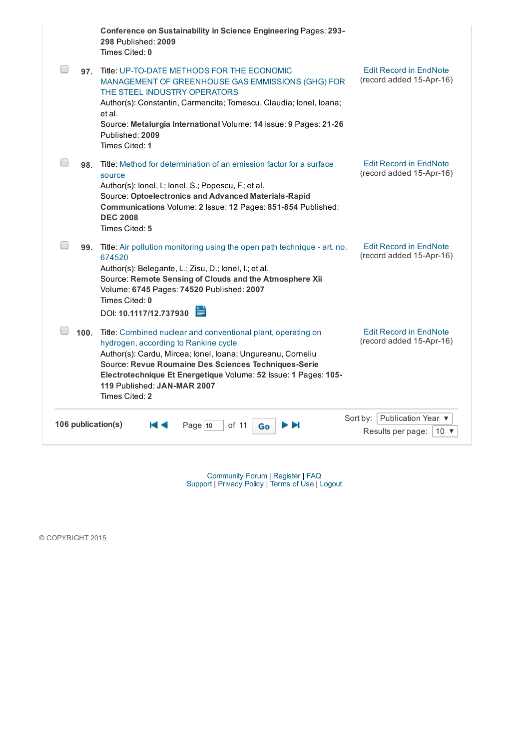|                    | Conference on Sustainability in Science Engineering Pages: 293-<br>298 Published: 2009<br>Times Cited: 0                                                                                                                                                                                                                                             |                                                                             |
|--------------------|------------------------------------------------------------------------------------------------------------------------------------------------------------------------------------------------------------------------------------------------------------------------------------------------------------------------------------------------------|-----------------------------------------------------------------------------|
|                    | 97. Title: UP-TO-DATE METHODS FOR THE ECONOMIC<br>MANAGEMENT OF GREENHOUSE GAS EMMISSIONS (GHG) FOR<br>THE STEEL INDUSTRY OPERATORS<br>Author(s): Constantin, Carmencita; Tomescu, Claudia; Ionel, Ioana;<br>et al.<br>Source: Metalurgia International Volume: 14 Issue: 9 Pages: 21-26<br>Published: 2009<br>Times Cited: 1                        | <b>Edit Record in EndNote</b><br>(record added 15-Apr-16)                   |
|                    | 98. Title: Method for determination of an emission factor for a surface<br>source<br>Author(s): lonel, l.; lonel, S.; Popescu, F.; et al.<br>Source: Optoelectronics and Advanced Materials-Rapid<br>Communications Volume: 2 Issue: 12 Pages: 851-854 Published:<br><b>DEC 2008</b><br>Times Cited: 5                                               | <b>Edit Record in EndNote</b><br>(record added 15-Apr-16)                   |
|                    | 99. Title: Air pollution monitoring using the open path technique - art. no.<br>674520<br>Author(s): Belegante, L.; Zisu, D.; lonel, I.; et al.<br>Source: Remote Sensing of Clouds and the Atmosphere Xii<br>Volume: 6745 Pages: 74520 Published: 2007<br>Times Cited: 0<br>言<br>DOI: 10.1117/12.737930                                             | <b>Edit Record in EndNote</b><br>(record added 15-Apr-16)                   |
|                    | 100. Title: Combined nuclear and conventional plant, operating on<br>hydrogen, according to Rankine cycle<br>Author(s): Cardu, Mircea; Ionel, Ioana; Ungureanu, Corneliu<br>Source: Revue Roumaine Des Sciences Techniques-Serie<br>Electrotechnique Et Energetique Volume: 52 Issue: 1 Pages: 105-<br>119 Published: JAN-MAR 2007<br>Times Cited: 2 | <b>Edit Record in EndNote</b><br>(record added 15-Apr-16)                   |
| 106 publication(s) | Page $10$<br>of 11<br>Go                                                                                                                                                                                                                                                                                                                             | Sort by: Publication Year ▼<br>Results per page:<br>10 $\blacktriangledown$ |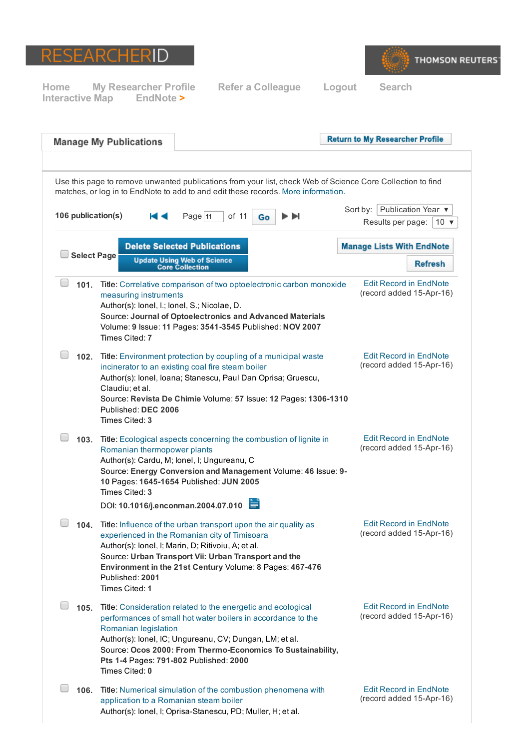



|      | <b>Manage My Publications</b>                            |                                                                                                                                                                                                                                                                                                  | <b>Return to My Researcher Profile</b>                                                                     |
|------|----------------------------------------------------------|--------------------------------------------------------------------------------------------------------------------------------------------------------------------------------------------------------------------------------------------------------------------------------------------------|------------------------------------------------------------------------------------------------------------|
|      |                                                          | matches, or log in to EndNote to add to and edit these records. More information.                                                                                                                                                                                                                | Use this page to remove unwanted publications from your list, check Web of Science Core Collection to find |
|      | 106 publication(s)                                       | Page $11$<br>of 11<br>Go                                                                                                                                                                                                                                                                         | Sort by: Publication Year ▼<br>D DI<br>Results per page:                                                   |
|      |                                                          |                                                                                                                                                                                                                                                                                                  | 10 $\sqrt{ }$                                                                                              |
|      | <b>Select Page</b>                                       | <b>Delete Selected Publications</b>                                                                                                                                                                                                                                                              | <b>Manage Lists With EndNote</b>                                                                           |
|      |                                                          | <b>Update Using Web of Science</b><br><b>Core Collection</b>                                                                                                                                                                                                                                     | <b>Refresh</b>                                                                                             |
| 101. | measuring instruments<br>Times Cited: 7                  | Title: Correlative comparison of two optoelectronic carbon monoxide<br>Author(s): lonel, I.; lonel, S.; Nicolae, D.<br>Source: Journal of Optoelectronics and Advanced Materials<br>Volume: 9 Issue: 11 Pages: 3541-3545 Published: NOV 2007                                                     | <b>Edit Record in EndNote</b><br>(record added 15-Apr-16)                                                  |
| 102. | Claudiu; et al.<br>Published: DEC 2006<br>Times Cited: 3 | Title: Environment protection by coupling of a municipal waste<br>incinerator to an existing coal fire steam boiler<br>Author(s): lonel, loana; Stanescu, Paul Dan Oprisa; Gruescu,<br>Source: Revista De Chimie Volume: 57 Issue: 12 Pages: 1306-1310                                           | <b>Edit Record in EndNote</b><br>(record added 15-Apr-16)                                                  |
| 103. | Romanian thermopower plants<br>Times Cited: 3            | Title: Ecological aspects concerning the combustion of lignite in<br>Author(s): Cardu, M; lonel, I; Ungureanu, C<br>Source: Energy Conversion and Management Volume: 46 Issue: 9-<br>10 Pages: 1645-1654 Published: JUN 2005<br>DOI: 10.1016/j.enconman.2004.07.010                              | <b>Edit Record in EndNote</b><br>(record added 15-Apr-16)                                                  |
| 104. | Published: 2001<br>Times Cited: 1                        | Title: Influence of the urban transport upon the air quality as<br>experienced in the Romanian city of Timisoara<br>Author(s): lonel, I; Marin, D; Ritivoiu, A; et al.<br>Source: Urban Transport Vii: Urban Transport and the<br>Environment in the 21st Century Volume: 8 Pages: 467-476       | <b>Edit Record in EndNote</b><br>(record added 15-Apr-16)                                                  |
| 105. | Romanian legislation<br>Times Cited: 0                   | Title: Consideration related to the energetic and ecological<br>performances of small hot water boilers in accordance to the<br>Author(s): lonel, IC; Ungureanu, CV; Dungan, LM; et al.<br>Source: Ocos 2000: From Thermo-Economics To Sustainability,<br>Pts 1-4 Pages: 791-802 Published: 2000 | <b>Edit Record in EndNote</b><br>(record added 15-Apr-16)                                                  |
| 106. |                                                          | Title: Numerical simulation of the combustion phenomena with<br>application to a Romanian steam boiler<br>Author(s): lonel, I; Oprisa-Stanescu, PD; Muller, H; et al.                                                                                                                            | <b>Edit Record in EndNote</b><br>(record added 15-Apr-16)                                                  |